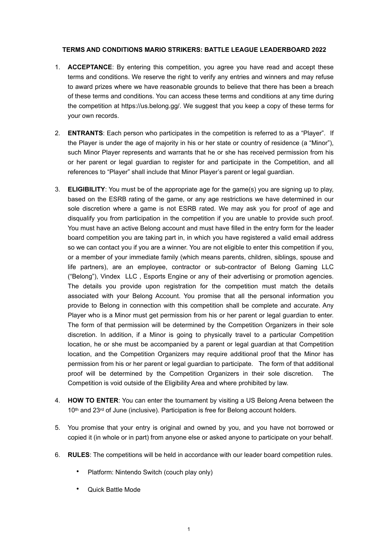## **TERMS AND CONDITIONS MARIO STRIKERS: BATTLE LEAGUE LEADERBOARD 2022**

- 1. **ACCEPTANCE**: By entering this competition, you agree you have read and accept these terms and conditions. We reserve the right to verify any entries and winners and may refuse to award prizes where we have reasonable grounds to believe that there has been a breach of these terms and conditions. You can access these terms and conditions at any time during the competition at https://us.belong.gg/. We suggest that you keep a copy of these terms for your own records.
- 2. **ENTRANTS**: Each person who participates in the competition is referred to as a "Player". If the Player is under the age of majority in his or her state or country of residence (a "Minor"), such Minor Player represents and warrants that he or she has received permission from his or her parent or legal guardian to register for and participate in the Competition, and all references to "Player" shall include that Minor Player's parent or legal guardian.
- 3. **ELIGIBILITY**: You must be of the appropriate age for the game(s) you are signing up to play, based on the ESRB rating of the game, or any age restrictions we have determined in our sole discretion where a game is not ESRB rated. We may ask you for proof of age and disqualify you from participation in the competition if you are unable to provide such proof. You must have an active Belong account and must have filled in the entry form for the leader board competition you are taking part in, in which you have registered a valid email address so we can contact you if you are a winner. You are not eligible to enter this competition if you, or a member of your immediate family (which means parents, children, siblings, spouse and life partners), are an employee, contractor or sub-contractor of Belong Gaming LLC ("Belong"), Vindex LLC , Esports Engine or any of their advertising or promotion agencies. The details you provide upon registration for the competition must match the details associated with your Belong Account. You promise that all the personal information you provide to Belong in connection with this competition shall be complete and accurate. Any Player who is a Minor must get permission from his or her parent or legal guardian to enter. The form of that permission will be determined by the Competition Organizers in their sole discretion. In addition, if a Minor is going to physically travel to a particular Competition location, he or she must be accompanied by a parent or legal guardian at that Competition location, and the Competition Organizers may require additional proof that the Minor has permission from his or her parent or legal guardian to participate. The form of that additional proof will be determined by the Competition Organizers in their sole discretion. The Competition is void outside of the Eligibility Area and where prohibited by law.
- 4. **HOW TO ENTER**: You can enter the tournament by visiting a US Belong Arena between the 10th and 23rd of June (inclusive). Participation is free for Belong account holders.
- 5. You promise that your entry is original and owned by you, and you have not borrowed or copied it (in whole or in part) from anyone else or asked anyone to participate on your behalf.
- 6. **RULES**: The competitions will be held in accordance with our leader board competition rules.
	- Platform: Nintendo Switch (couch play only)
	- Quick Battle Mode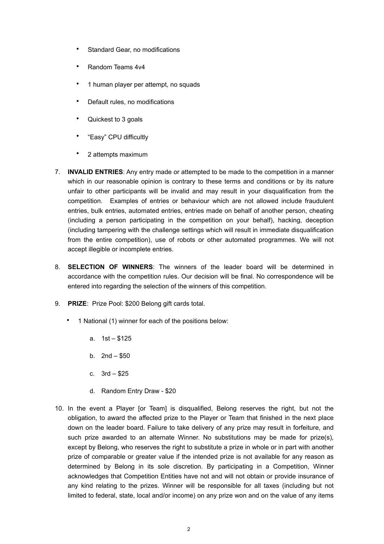- Standard Gear, no modifications
- Random Teams 4v4
- 1 human player per attempt, no squads
- Default rules, no modifications
- Quickest to 3 goals
- "Easy" CPU difficultly
- 2 attempts maximum
- 7. **INVALID ENTRIES**: Any entry made or attempted to be made to the competition in a manner which in our reasonable opinion is contrary to these terms and conditions or by its nature unfair to other participants will be invalid and may result in your disqualification from the competition. Examples of entries or behaviour which are not allowed include fraudulent entries, bulk entries, automated entries, entries made on behalf of another person, cheating (including a person participating in the competition on your behalf), hacking, deception (including tampering with the challenge settings which will result in immediate disqualification from the entire competition), use of robots or other automated programmes. We will not accept illegible or incomplete entries.
- 8. **SELECTION OF WINNERS**: The winners of the leader board will be determined in accordance with the competition rules. Our decision will be final. No correspondence will be entered into regarding the selection of the winners of this competition.
- 9. **PRIZE**: Prize Pool: \$200 Belong gift cards total.
	- 1 National (1) winner for each of the positions below:
		- a. 1st \$125
		- b. 2nd \$50
		- c. 3rd \$25
		- d. Random Entry Draw \$20
- 10. In the event a Player [or Team] is disqualified, Belong reserves the right, but not the obligation, to award the affected prize to the Player or Team that finished in the next place down on the leader board. Failure to take delivery of any prize may result in forfeiture, and such prize awarded to an alternate Winner. No substitutions may be made for prize(s), except by Belong, who reserves the right to substitute a prize in whole or in part with another prize of comparable or greater value if the intended prize is not available for any reason as determined by Belong in its sole discretion. By participating in a Competition, Winner acknowledges that Competition Entities have not and will not obtain or provide insurance of any kind relating to the prizes. Winner will be responsible for all taxes (including but not limited to federal, state, local and/or income) on any prize won and on the value of any items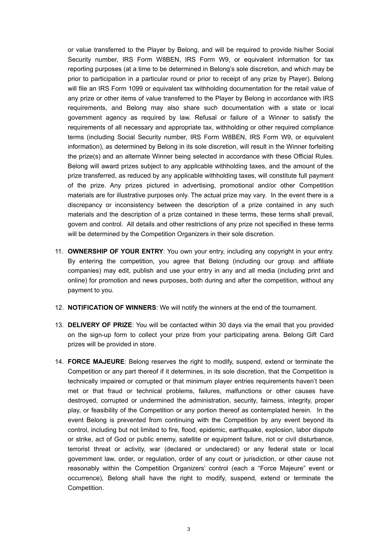or value transferred to the Player by Belong, and will be required to provide his/her Social Security number, IRS Form W8BEN, IRS Form W9, or equivalent information for tax reporting purposes (at a time to be determined in Belong's sole discretion, and which may be prior to participation in a particular round or prior to receipt of any prize by Player). Belong will file an IRS Form 1099 or equivalent tax withholding documentation for the retail value of any prize or other items of value transferred to the Player by Belong in accordance with IRS requirements, and Belong may also share such documentation with a state or local government agency as required by law. Refusal or failure of a Winner to satisfy the requirements of all necessary and appropriate tax, withholding or other required compliance terms (including Social Security number, IRS Form W8BEN, IRS Form W9, or equivalent information), as determined by Belong in its sole discretion, will result in the Winner forfeiting the prize(s) and an alternate Winner being selected in accordance with these Official Rules. Belong will award prizes subject to any applicable withholding taxes, and the amount of the prize transferred, as reduced by any applicable withholding taxes, will constitute full payment of the prize. Any prizes pictured in advertising, promotional and/or other Competition materials are for illustrative purposes only. The actual prize may vary. In the event there is a discrepancy or inconsistency between the description of a prize contained in any such materials and the description of a prize contained in these terms, these terms shall prevail, govern and control. All details and other restrictions of any prize not specified in these terms will be determined by the Competition Organizers in their sole discretion.

- 11. **OWNERSHIP OF YOUR ENTRY**: You own your entry, including any copyright in your entry. By entering the competition, you agree that Belong (including our group and affiliate companies) may edit, publish and use your entry in any and all media (including print and online) for promotion and news purposes, both during and after the competition, without any payment to you.
- 12. **NOTIFICATION OF WINNERS**: We will notify the winners at the end of the tournament.
- 13. **DELIVERY OF PRIZE**: You will be contacted within 30 days via the email that you provided on the sign-up form to collect your prize from your participating arena. Belong Gift Card prizes will be provided in store.
- 14. **FORCE MAJEURE**: Belong reserves the right to modify, suspend, extend or terminate the Competition or any part thereof if it determines, in its sole discretion, that the Competition is technically impaired or corrupted or that minimum player entries requirements haven't been met or that fraud or technical problems, failures, malfunctions or other causes have destroyed, corrupted or undermined the administration, security, fairness, integrity, proper play, or feasibility of the Competition or any portion thereof as contemplated herein. In the event Belong is prevented from continuing with the Competition by any event beyond its control, including but not limited to fire, flood, epidemic, earthquake, explosion, labor dispute or strike, act of God or public enemy, satellite or equipment failure, riot or civil disturbance, terrorist threat or activity, war (declared or undeclared) or any federal state or local government law, order, or regulation, order of any court or jurisdiction, or other cause not reasonably within the Competition Organizers' control (each a "Force Majeure" event or occurrence), Belong shall have the right to modify, suspend, extend or terminate the Competition.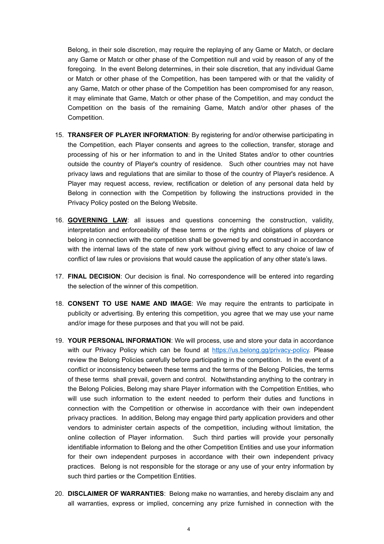Belong, in their sole discretion, may require the replaying of any Game or Match, or declare any Game or Match or other phase of the Competition null and void by reason of any of the foregoing. In the event Belong determines, in their sole discretion, that any individual Game or Match or other phase of the Competition, has been tampered with or that the validity of any Game, Match or other phase of the Competition has been compromised for any reason, it may eliminate that Game, Match or other phase of the Competition, and may conduct the Competition on the basis of the remaining Game, Match and/or other phases of the Competition.

- 15. **TRANSFER OF PLAYER INFORMATION**: By registering for and/or otherwise participating in the Competition, each Player consents and agrees to the collection, transfer, storage and processing of his or her information to and in the United States and/or to other countries outside the country of Player's country of residence. Such other countries may not have privacy laws and regulations that are similar to those of the country of Player's residence. A Player may request access, review, rectification or deletion of any personal data held by Belong in connection with the Competition by following the instructions provided in the Privacy Policy posted on the Belong Website.
- 16. **GOVERNING LAW**: all issues and questions concerning the construction, validity, interpretation and enforceability of these terms or the rights and obligations of players or belong in connection with the competition shall be governed by and construed in accordance with the internal laws of the state of new york without giving effect to any choice of law of conflict of law rules or provisions that would cause the application of any other state's laws.
- 17. **FINAL DECISION**: Our decision is final. No correspondence will be entered into regarding the selection of the winner of this competition.
- 18. **CONSENT TO USE NAME AND IMAGE**: We may require the entrants to participate in publicity or advertising. By entering this competition, you agree that we may use your name and/or image for these purposes and that you will not be paid.
- 19. **YOUR PERSONAL INFORMATION**: We will process, use and store your data in accordance with our Privacy Policy which can be found at [https://us.belong.gg/privacy-policy.](https://us.belong.gg/privacy-policy) Please review the Belong Policies carefully before participating in the competition. In the event of a conflict or inconsistency between these terms and the terms of the Belong Policies, the terms of these terms shall prevail, govern and control. Notwithstanding anything to the contrary in the Belong Policies, Belong may share Player information with the Competition Entities, who will use such information to the extent needed to perform their duties and functions in connection with the Competition or otherwise in accordance with their own independent privacy practices. In addition, Belong may engage third party application providers and other vendors to administer certain aspects of the competition, including without limitation, the online collection of Player information. Such third parties will provide your personally identifiable information to Belong and the other Competition Entities and use your information for their own independent purposes in accordance with their own independent privacy practices. Belong is not responsible for the storage or any use of your entry information by such third parties or the Competition Entities.
- 20. **DISCLAIMER OF WARRANTIES**: Belong make no warranties, and hereby disclaim any and all warranties, express or implied, concerning any prize furnished in connection with the